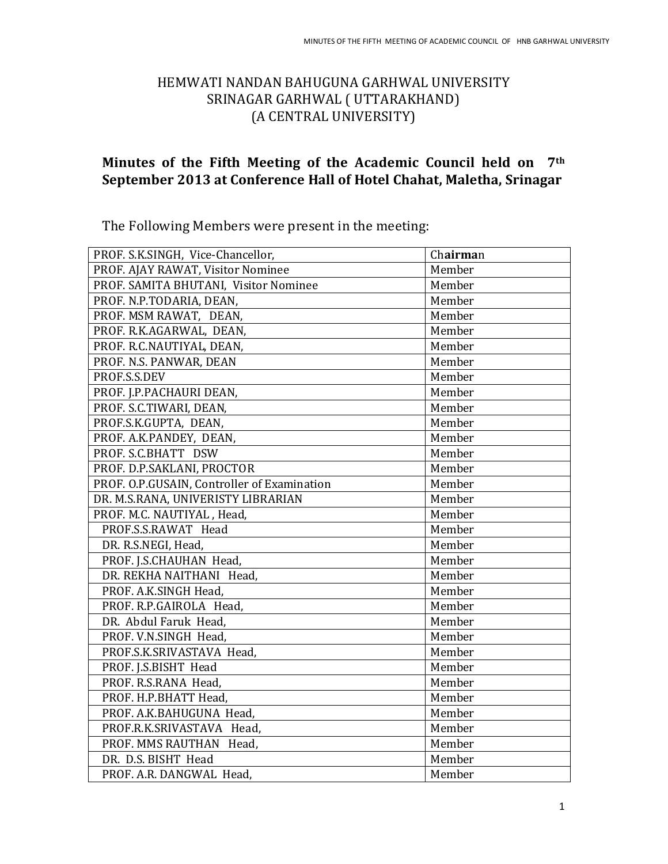### HEMWATI NANDAN BAHUGUNA GARHWAL UNIVERSITY SRINAGAR GARHWAL ( UTTARAKHAND) (A CENTRAL UNIVERSITY)

### **Minutes of the Fifth Meeting of the Academic Council held on 7th September 2013 at Conference Hall of Hotel Chahat, Maletha, Srinagar**

The Following Members were present in the meeting:

| PROF. S.K.SINGH, Vice-Chancellor,           | Chairman |
|---------------------------------------------|----------|
| PROF. AJAY RAWAT, Visitor Nominee           | Member   |
| PROF. SAMITA BHUTANI, Visitor Nominee       | Member   |
| PROF. N.P.TODARIA, DEAN,                    | Member   |
| PROF. MSM RAWAT, DEAN,                      | Member   |
| PROF. R.K.AGARWAL, DEAN,                    | Member   |
| PROF. R.C.NAUTIYAL, DEAN,                   | Member   |
| PROF. N.S. PANWAR, DEAN                     | Member   |
| PROF.S.S.DEV                                | Member   |
| PROF. J.P.PACHAURI DEAN,                    | Member   |
| PROF. S.C.TIWARI, DEAN,                     | Member   |
| PROF.S.K.GUPTA, DEAN,                       | Member   |
| PROF. A.K.PANDEY, DEAN,                     | Member   |
| PROF. S.C.BHATT DSW                         | Member   |
| PROF. D.P.SAKLANI, PROCTOR                  | Member   |
| PROF. O.P.GUSAIN, Controller of Examination | Member   |
| DR. M.S.RANA, UNIVERISTY LIBRARIAN          | Member   |
| PROF. M.C. NAUTIYAL, Head,                  | Member   |
| PROF.S.S.RAWAT Head                         | Member   |
| DR. R.S.NEGI, Head,                         | Member   |
| PROF. J.S.CHAUHAN Head,                     | Member   |
| DR. REKHA NAITHANI Head,                    | Member   |
| PROF. A.K.SINGH Head,                       | Member   |
| PROF. R.P.GAIROLA Head,                     | Member   |
| DR. Abdul Faruk Head,                       | Member   |
| PROF. V.N.SINGH Head,                       | Member   |
| PROF.S.K.SRIVASTAVA Head,                   | Member   |
| PROF. J.S.BISHT Head                        | Member   |
| PROF. R.S.RANA Head,                        | Member   |
| PROF. H.P.BHATT Head,                       | Member   |
| PROF. A.K.BAHUGUNA Head,                    | Member   |
| PROF.R.K.SRIVASTAVA Head,                   | Member   |
| PROF. MMS RAUTHAN Head,                     | Member   |
| DR. D.S. BISHT Head                         | Member   |
| PROF. A.R. DANGWAL Head.                    | Member   |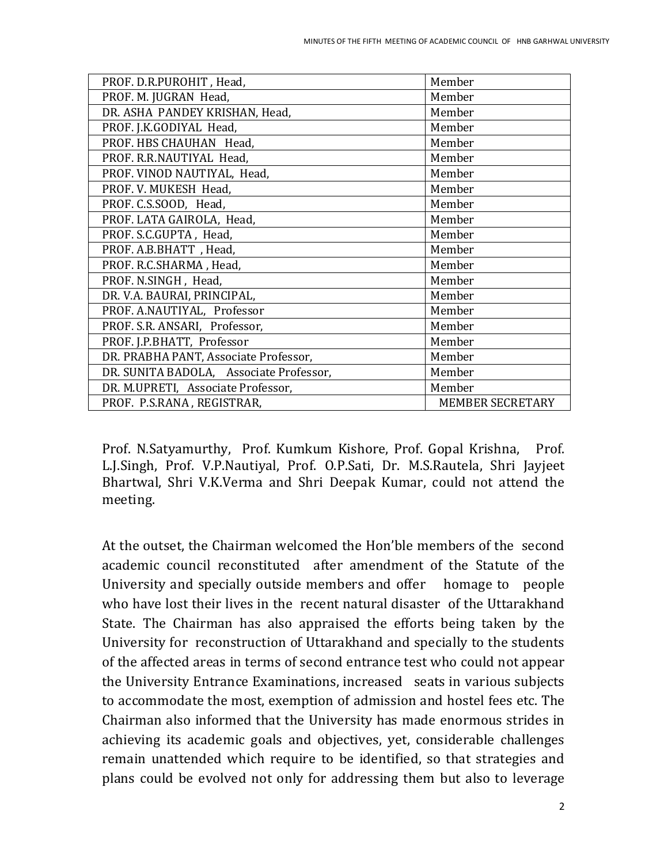| PROF. D.R.PUROHIT, Head,                | Member                  |
|-----------------------------------------|-------------------------|
| PROF. M. JUGRAN Head,                   | Member                  |
| DR. ASHA PANDEY KRISHAN, Head,          | Member                  |
| PROF. J.K.GODIYAL Head,                 | Member                  |
| PROF. HBS CHAUHAN Head,                 | Member                  |
| PROF. R.R.NAUTIYAL Head,                | Member                  |
| PROF. VINOD NAUTIYAL, Head,             | Member                  |
| PROF. V. MUKESH Head,                   | Member                  |
| PROF. C.S.SOOD, Head,                   | Member                  |
| PROF. LATA GAIROLA, Head,               | Member                  |
| PROF. S.C.GUPTA, Head,                  | Member                  |
| PROF. A.B.BHATT, Head,                  | Member                  |
| PROF. R.C.SHARMA, Head,                 | Member                  |
| PROF. N.SINGH, Head,                    | Member                  |
| DR. V.A. BAURAI, PRINCIPAL,             | Member                  |
| PROF. A.NAUTIYAL, Professor             | Member                  |
| PROF. S.R. ANSARI, Professor,           | Member                  |
| PROF. J.P.BHATT, Professor              | Member                  |
| DR. PRABHA PANT, Associate Professor,   | Member                  |
| DR. SUNITA BADOLA, Associate Professor, | Member                  |
| DR. M.UPRETI, Associate Professor,      | Member                  |
| PROF. P.S.RANA, REGISTRAR,              | <b>MEMBER SECRETARY</b> |

Prof. N.Satyamurthy, Prof. Kumkum Kishore, Prof. Gopal Krishna, Prof. L.J.Singh, Prof. V.P.Nautiyal, Prof. O.P.Sati, Dr. M.S.Rautela, Shri Jayjeet Bhartwal, Shri V.K.Verma and Shri Deepak Kumar, could not attend the meeting.

At the outset, the Chairman welcomed the Hon'ble members of the second academic council reconstituted after amendment of the Statute of the University and specially outside members and offer homage to people who have lost their lives in the recent natural disaster of the Uttarakhand State. The Chairman has also appraised the efforts being taken by the University for reconstruction of Uttarakhand and specially to the students of the affected areas in terms of second entrance test who could not appear the University Entrance Examinations, increased seats in various subjects to accommodate the most, exemption of admission and hostel fees etc. The Chairman also informed that the University has made enormous strides in achieving its academic goals and objectives, yet, considerable challenges remain unattended which require to be identified, so that strategies and plans could be evolved not only for addressing them but also to leverage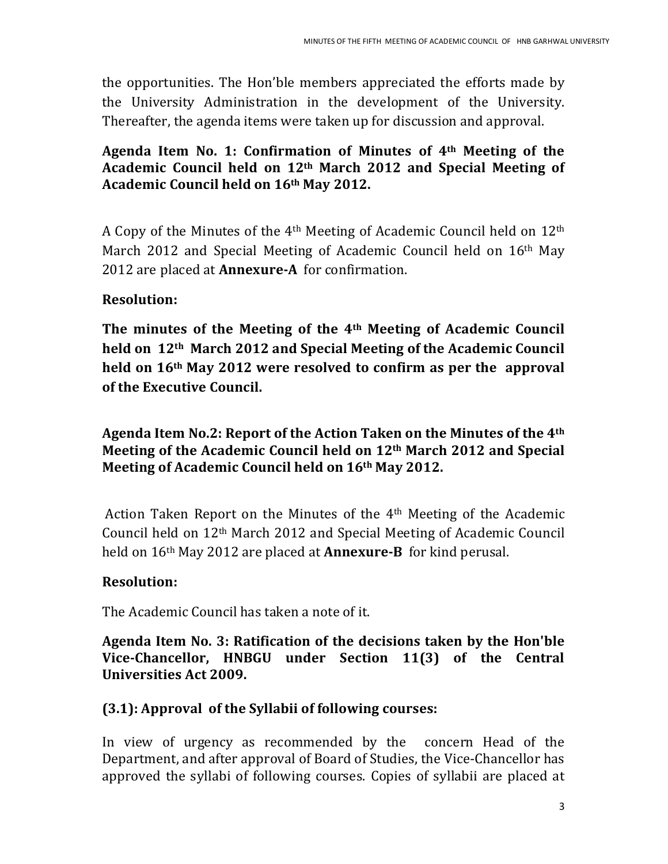the opportunities. The Hon'ble members appreciated the efforts made by the University Administration in the development of the University. Thereafter, the agenda items were taken up for discussion and approval.

### **Agenda Item No. 1: Confirmation of Minutes of 4th Meeting of the Academic Council held on 12th March 2012 and Special Meeting of Academic Council held on 16th May 2012.**

A Copy of the Minutes of the 4th Meeting of Academic Council held on 12th March 2012 and Special Meeting of Academic Council held on 16<sup>th</sup> May 2012 are placed at **Annexure-A** for confirmation.

# **Resolution:**

**The minutes of the Meeting of the 4th Meeting of Academic Council held on 12th March 2012 and Special Meeting of the Academic Council held on 16th May 2012 were resolved to confirm as per the approval of the Executive Council.** 

**Agenda Item No.2: Report of the Action Taken on the Minutes of the 4th Meeting of the Academic Council held on 12th March 2012 and Special Meeting of Academic Council held on 16th May 2012.**

Action Taken Report on the Minutes of the 4th Meeting of the Academic Council held on 12th March 2012 and Special Meeting of Academic Council held on 16th May 2012 are placed at **Annexure-B** for kind perusal.

# **Resolution:**

The Academic Council has taken a note of it.

### **Agenda Item No. 3: Ratification of the decisions taken by the Hon'ble Vice-Chancellor, HNBGU under Section 11(3) of the Central Universities Act 2009.**

# **(3.1): Approval of the Syllabii of following courses:**

In view of urgency as recommended by the concern Head of the Department, and after approval of Board of Studies, the Vice-Chancellor has approved the syllabi of following courses. Copies of syllabii are placed at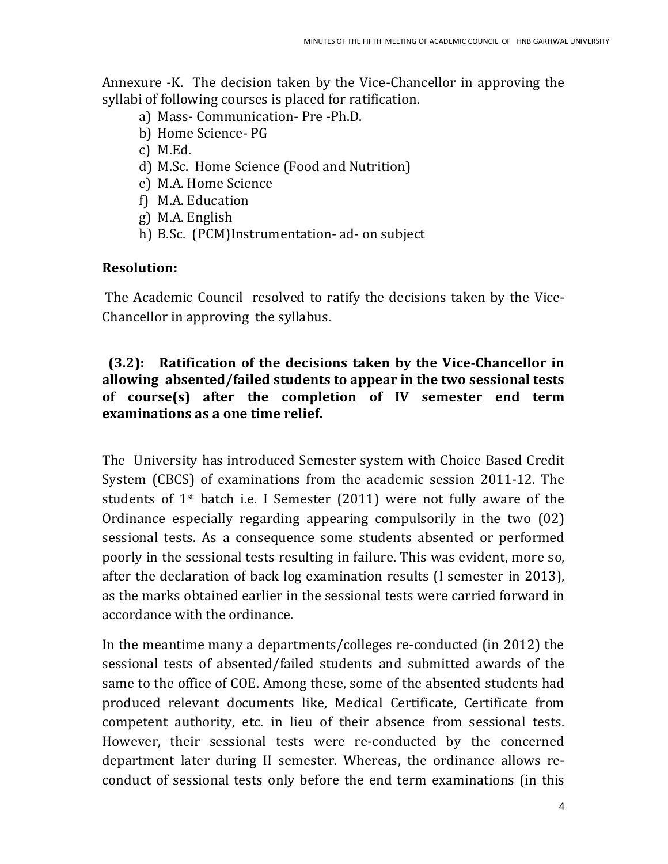Annexure -K. The decision taken by the Vice-Chancellor in approving the syllabi of following courses is placed for ratification.

- a) Mass- Communication- Pre -Ph.D.
- b) Home Science- PG
- c) M.Ed.
- d) M.Sc. Home Science (Food and Nutrition)
- e) M.A. Home Science
- f) M.A. Education
- g) M.A. English
- h) B.Sc. (PCM)Instrumentation- ad- on subject

#### **Resolution:**

The Academic Council resolved to ratify the decisions taken by the Vice-Chancellor in approving the syllabus.

### **(3.2): Ratification of the decisions taken by the Vice-Chancellor in allowing absented/failed students to appear in the two sessional tests of course(s) after the completion of IV semester end term examinations as a one time relief.**

The University has introduced Semester system with Choice Based Credit System (CBCS) of examinations from the academic session 2011-12. The students of  $1^{st}$  batch i.e. I Semester (2011) were not fully aware of the Ordinance especially regarding appearing compulsorily in the two (02) sessional tests. As a consequence some students absented or performed poorly in the sessional tests resulting in failure. This was evident, more so, after the declaration of back log examination results (I semester in 2013), as the marks obtained earlier in the sessional tests were carried forward in accordance with the ordinance.

In the meantime many a departments/colleges re-conducted (in 2012) the sessional tests of absented/failed students and submitted awards of the same to the office of COE. Among these, some of the absented students had produced relevant documents like, Medical Certificate, Certificate from competent authority, etc. in lieu of their absence from sessional tests. However, their sessional tests were re-conducted by the concerned department later during II semester. Whereas, the ordinance allows reconduct of sessional tests only before the end term examinations (in this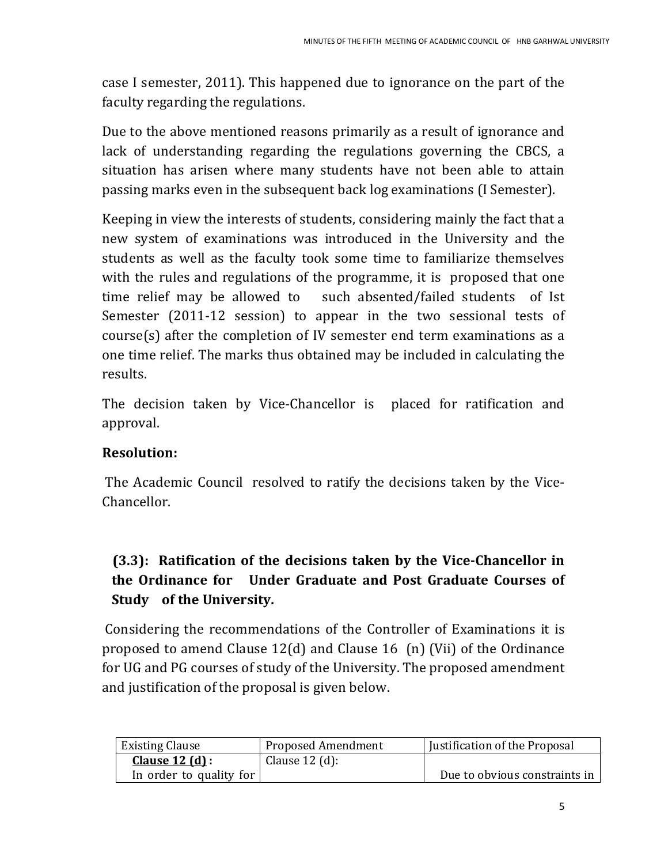case I semester, 2011). This happened due to ignorance on the part of the faculty regarding the regulations.

Due to the above mentioned reasons primarily as a result of ignorance and lack of understanding regarding the regulations governing the CBCS, a situation has arisen where many students have not been able to attain passing marks even in the subsequent back log examinations (I Semester).

Keeping in view the interests of students, considering mainly the fact that a new system of examinations was introduced in the University and the students as well as the faculty took some time to familiarize themselves with the rules and regulations of the programme, it is proposed that one time relief may be allowed to such absented/failed students of Ist Semester (2011-12 session) to appear in the two sessional tests of course(s) after the completion of IV semester end term examinations as a one time relief. The marks thus obtained may be included in calculating the results.

The decision taken by Vice-Chancellor is placed for ratification and approval.

# **Resolution:**

The Academic Council resolved to ratify the decisions taken by the Vice-Chancellor.

# **(3.3): Ratification of the decisions taken by the Vice-Chancellor in the Ordinance for Under Graduate and Post Graduate Courses of Study of the University.**

Considering the recommendations of the Controller of Examinations it is proposed to amend Clause 12(d) and Clause 16 (n) (Vii) of the Ordinance for UG and PG courses of study of the University. The proposed amendment and justification of the proposal is given below.

| <b>Existing Clause</b>  | Proposed Amendment | Justification of the Proposal |
|-------------------------|--------------------|-------------------------------|
| <b>Clause 12 (d):</b>   | Clause $12$ (d):   |                               |
| In order to quality for |                    | Due to obvious constraints in |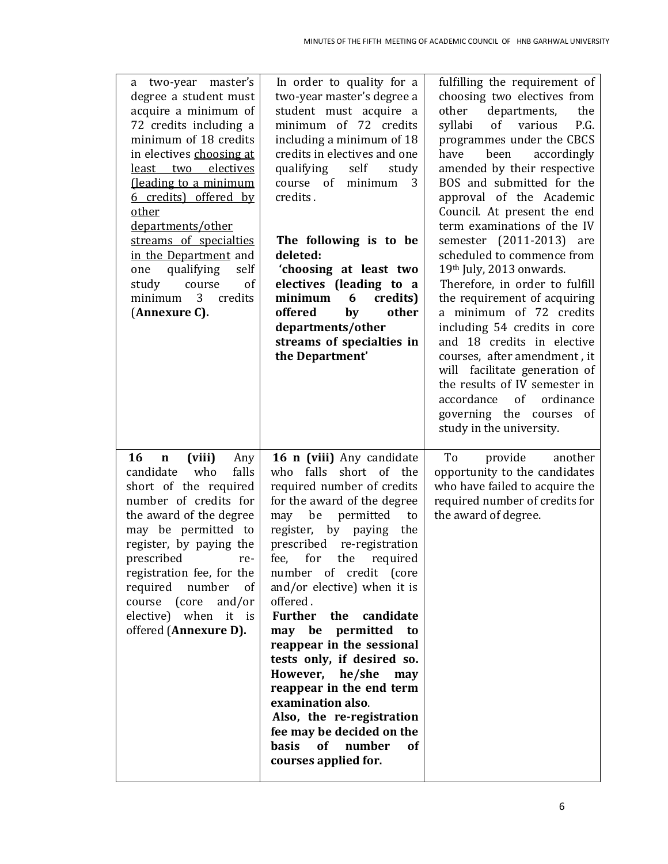| a two-year master's<br>degree a student must<br>acquire a minimum of<br>72 credits including a<br>minimum of 18 credits<br>in electives choosing at<br>least two electives<br>(leading to a minimum<br>6 credits) offered by<br>other<br>departments/other<br>streams of specialties<br>in the Department and<br>self<br>qualifying<br>one<br>of<br>study<br>course<br>3 <sup>7</sup><br>credits<br>minimum<br>(Annexure C). | In order to quality for a<br>two-year master's degree a<br>student must acquire a<br>minimum of 72 credits<br>including a minimum of 18<br>credits in electives and one<br>qualifying<br>self<br>study<br>course of<br>minimum<br>3<br>credits.<br>The following is to be<br>deleted:<br>'choosing at least two<br>electives (leading to a<br>minimum<br>credits)<br>6<br>offered<br>by<br>other<br>departments/other<br>streams of specialties in<br>the Department'                                                                                                                                                          | fulfilling the requirement of<br>choosing two electives from<br>other<br>departments,<br>the<br>of<br>various<br>P.G.<br>syllabi<br>programmes under the CBCS<br>been<br>accordingly<br>have<br>amended by their respective<br>BOS and submitted for the<br>approval of the Academic<br>Council. At present the end<br>term examinations of the IV<br>semester (2011-2013) are<br>scheduled to commence from<br>19th July, 2013 onwards.<br>Therefore, in order to fulfill<br>the requirement of acquiring<br>a minimum of 72 credits<br>including 54 credits in core<br>and 18 credits in elective<br>courses, after amendment, it<br>will facilitate generation of<br>the results of IV semester in<br>of<br>ordinance<br>accordance<br>governing the courses<br>of<br>study in the university. |
|------------------------------------------------------------------------------------------------------------------------------------------------------------------------------------------------------------------------------------------------------------------------------------------------------------------------------------------------------------------------------------------------------------------------------|--------------------------------------------------------------------------------------------------------------------------------------------------------------------------------------------------------------------------------------------------------------------------------------------------------------------------------------------------------------------------------------------------------------------------------------------------------------------------------------------------------------------------------------------------------------------------------------------------------------------------------|---------------------------------------------------------------------------------------------------------------------------------------------------------------------------------------------------------------------------------------------------------------------------------------------------------------------------------------------------------------------------------------------------------------------------------------------------------------------------------------------------------------------------------------------------------------------------------------------------------------------------------------------------------------------------------------------------------------------------------------------------------------------------------------------------|
| 16<br>(viii)<br>Any<br>$\mathbf n$<br>candidate<br>who<br>falls<br>short of the required<br>number of credits for<br>the award of the degree<br>may be permitted to<br>register, by paying the<br>prescribed<br>re-<br>registration fee, for the<br>required number of<br>course (core<br>and/or<br>elective) when it is<br>offered (Annexure D).                                                                            | 16 n (viii) Any candidate<br>who falls short of the<br>required number of credits<br>for the award of the degree<br>may be<br>permitted<br>to<br>register, by paying<br>the<br>prescribed re-registration<br>for the required<br>fee,<br>number of credit (core<br>and/or elective) when it is<br>offered.<br><b>Further</b><br>the<br>candidate<br>may be permitted<br>to<br>reappear in the sessional<br>tests only, if desired so.<br>However, he/she<br>may<br>reappear in the end term<br>examination also.<br>Also, the re-registration<br>fee may be decided on the<br>basis<br>of number<br>0f<br>courses applied for. | To<br>another<br>provide<br>opportunity to the candidates<br>who have failed to acquire the<br>required number of credits for<br>the award of degree.                                                                                                                                                                                                                                                                                                                                                                                                                                                                                                                                                                                                                                             |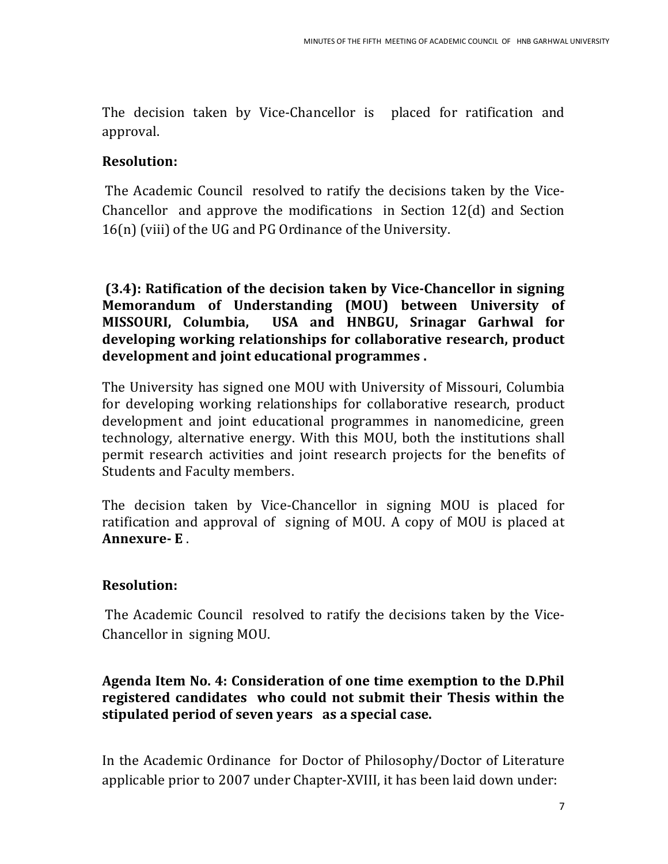The decision taken by Vice-Chancellor is placed for ratification and approval.

# **Resolution:**

The Academic Council resolved to ratify the decisions taken by the Vice-Chancellor and approve the modifications in Section 12(d) and Section 16(n) (viii) of the UG and PG Ordinance of the University.

**(3.4): Ratification of the decision taken by Vice-Chancellor in signing Memorandum of Understanding (MOU) between University of MISSOURI, Columbia, USA and HNBGU, Srinagar Garhwal for developing working relationships for collaborative research, product development and joint educational programmes .**

The University has signed one MOU with University of Missouri, Columbia for developing working relationships for collaborative research, product development and joint educational programmes in nanomedicine, green technology, alternative energy. With this MOU, both the institutions shall permit research activities and joint research projects for the benefits of Students and Faculty members.

The decision taken by Vice-Chancellor in signing MOU is placed for ratification and approval of signing of MOU. A copy of MOU is placed at **Annexure- E** .

# **Resolution:**

The Academic Council resolved to ratify the decisions taken by the Vice-Chancellor in signing MOU.

## **Agenda Item No. 4: Consideration of one time exemption to the D.Phil registered candidates who could not submit their Thesis within the stipulated period of seven years as a special case.**

In the Academic Ordinance for Doctor of Philosophy/Doctor of Literature applicable prior to 2007 under Chapter-XVIII, it has been laid down under: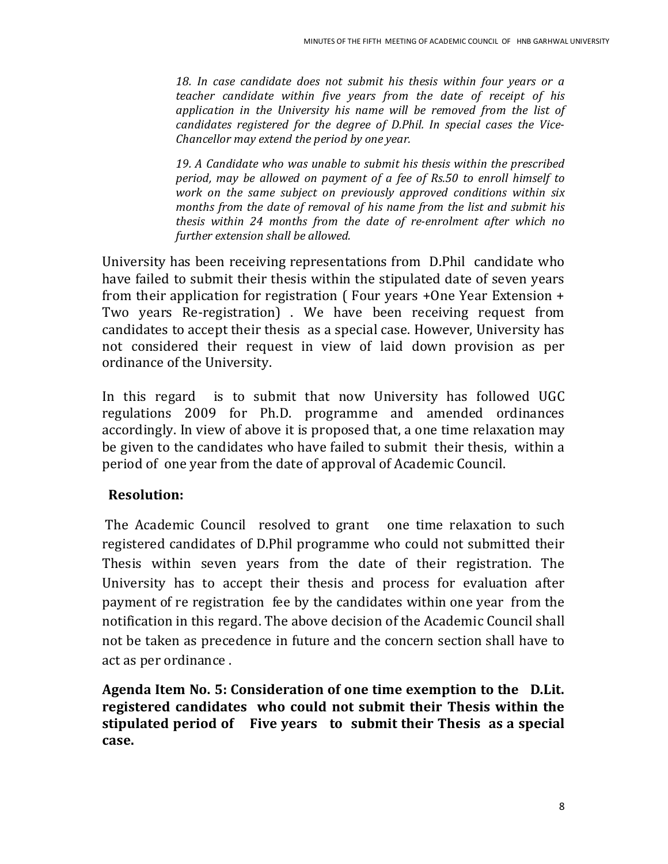*18. In case candidate does not submit his thesis within four years or a teacher candidate within five years from the date of receipt of his application in the University his name will be removed from the list of candidates registered for the degree of D.Phil. In special cases the Vice-Chancellor may extend the period by one year.*

*19. A Candidate who was unable to submit his thesis within the prescribed period, may be allowed on payment of a fee of Rs.50 to enroll himself to work on the same subject on previously approved conditions within six months from the date of removal of his name from the list and submit his thesis within 24 months from the date of re-enrolment after which no further extension shall be allowed.*

University has been receiving representations from D.Phil candidate who have failed to submit their thesis within the stipulated date of seven years from their application for registration ( Four years +One Year Extension + Two years Re-registration) . We have been receiving request from candidates to accept their thesis as a special case. However, University has not considered their request in view of laid down provision as per ordinance of the University.

In this regard is to submit that now University has followed UGC regulations 2009 for Ph.D. programme and amended ordinances accordingly. In view of above it is proposed that, a one time relaxation may be given to the candidates who have failed to submit their thesis, within a period of one year from the date of approval of Academic Council.

### **Resolution:**

The Academic Council resolved to grant one time relaxation to such registered candidates of D.Phil programme who could not submitted their Thesis within seven years from the date of their registration. The University has to accept their thesis and process for evaluation after payment of re registration fee by the candidates within one year from the notification in this regard. The above decision of the Academic Council shall not be taken as precedence in future and the concern section shall have to act as per ordinance .

**Agenda Item No. 5: Consideration of one time exemption to the D.Lit. registered candidates who could not submit their Thesis within the stipulated period of Five years to submit their Thesis as a special case.**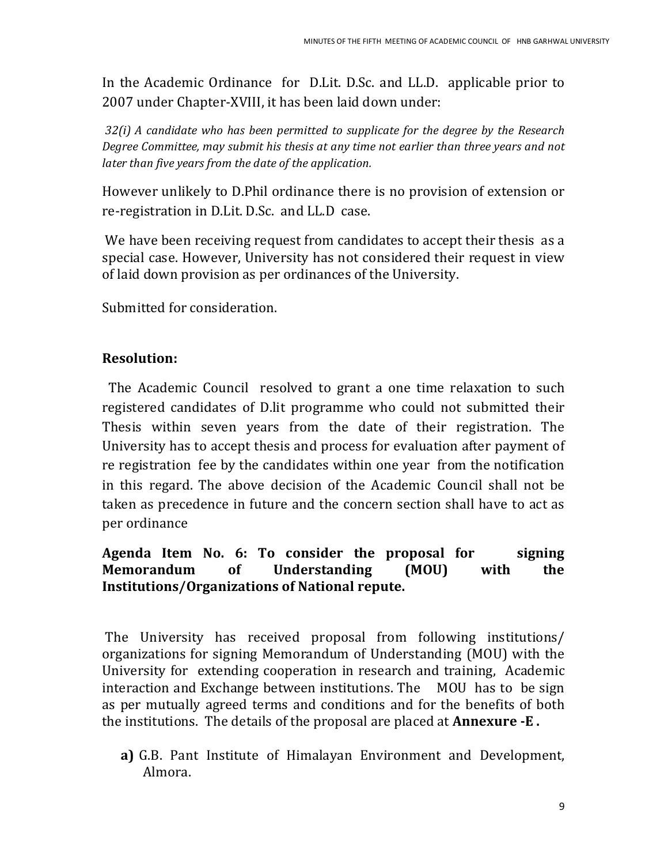In the Academic Ordinance for D.Lit. D.Sc. and LL.D. applicable prior to 2007 under Chapter-XVIII, it has been laid down under:

*32(i) A candidate who has been permitted to supplicate for the degree by the Research Degree Committee, may submit his thesis at any time not earlier than three years and not later than five years from the date of the application.* 

However unlikely to D.Phil ordinance there is no provision of extension or re-registration in D.Lit. D.Sc. and LL.D case.

We have been receiving request from candidates to accept their thesis as a special case. However, University has not considered their request in view of laid down provision as per ordinances of the University.

Submitted for consideration.

## **Resolution:**

The Academic Council resolved to grant a one time relaxation to such registered candidates of D.lit programme who could not submitted their Thesis within seven years from the date of their registration. The University has to accept thesis and process for evaluation after payment of re registration fee by the candidates within one year from the notification in this regard. The above decision of the Academic Council shall not be taken as precedence in future and the concern section shall have to act as per ordinance

### **Agenda Item No. 6: To consider the proposal for signing Memorandum of Understanding (MOU) with the Institutions/Organizations of National repute.**

The University has received proposal from following institutions/ organizations for signing Memorandum of Understanding (MOU) with the University for extending cooperation in research and training, Academic interaction and Exchange between institutions. The MOU has to be sign as per mutually agreed terms and conditions and for the benefits of both the institutions. The details of the proposal are placed at **Annexure -E .**

**a)** G.B. Pant Institute of Himalayan Environment and Development, Almora.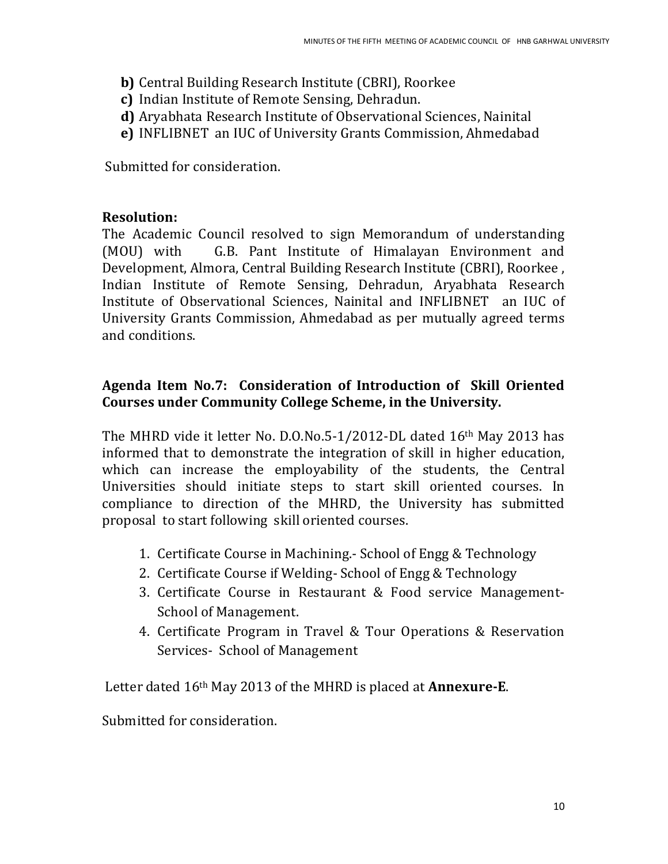- **b)** Central Building Research Institute (CBRI), Roorkee
- **c)** Indian Institute of Remote Sensing, Dehradun.
- **d)** Aryabhata Research Institute of Observational Sciences, Nainital
- **e)** INFLIBNET an IUC of University Grants Commission, Ahmedabad

Submitted for consideration.

### **Resolution:**

The Academic Council resolved to sign Memorandum of understanding (MOU) with G.B. Pant Institute of Himalayan Environment and Development, Almora, Central Building Research Institute (CBRI), Roorkee , Indian Institute of Remote Sensing, Dehradun, Aryabhata Research Institute of Observational Sciences, Nainital and INFLIBNET an IUC of University Grants Commission, Ahmedabad as per mutually agreed terms and conditions.

## **Agenda Item No.7: Consideration of Introduction of Skill Oriented Courses under Community College Scheme, in the University.**

The MHRD vide it letter No. D.O.No.5-1/2012-DL dated 16th May 2013 has informed that to demonstrate the integration of skill in higher education, which can increase the employability of the students, the Central Universities should initiate steps to start skill oriented courses. In compliance to direction of the MHRD, the University has submitted proposal to start following skill oriented courses.

- 1. Certificate Course in Machining.- School of Engg & Technology
- 2. Certificate Course if Welding- School of Engg & Technology
- 3. Certificate Course in Restaurant & Food service Management-School of Management.
- 4. Certificate Program in Travel & Tour Operations & Reservation Services- School of Management

Letter dated 16th May 2013 of the MHRD is placed at **Annexure-E**.

Submitted for consideration.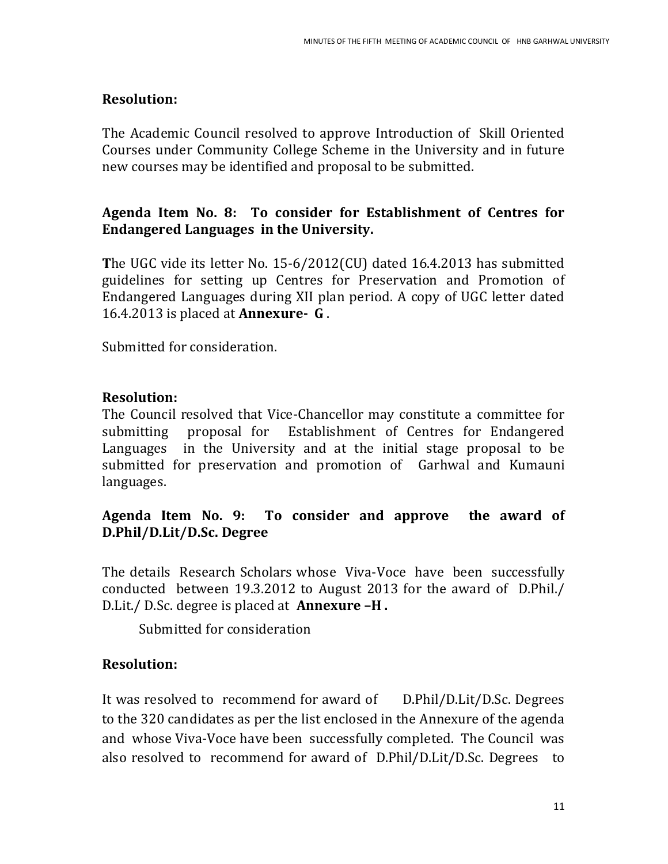### **Resolution:**

The Academic Council resolved to approve Introduction of Skill Oriented Courses under Community College Scheme in the University and in future new courses may be identified and proposal to be submitted.

## **Agenda Item No. 8: To consider for Establishment of Centres for Endangered Languages in the University.**

**T**he UGC vide its letter No. 15-6/2012(CU) dated 16.4.2013 has submitted guidelines for setting up Centres for Preservation and Promotion of Endangered Languages during XII plan period. A copy of UGC letter dated 16.4.2013 is placed at **Annexure- G** .

Submitted for consideration.

# **Resolution:**

The Council resolved that Vice-Chancellor may constitute a committee for submitting proposal for Establishment of Centres for Endangered Languages in the University and at the initial stage proposal to be submitted for preservation and promotion of Garhwal and Kumauni languages.

## **Agenda Item No. 9: To consider and approve the award of D.Phil/D.Lit/D.Sc. Degree**

The details Research Scholars whose Viva-Voce have been successfully conducted between 19.3.2012 to August 2013 for the award of D.Phil./ D.Lit./ D.Sc. degree is placed at **Annexure –H .** 

Submitted for consideration

# **Resolution:**

It was resolved to recommend for award of D.Phil/D.Lit/D.Sc. Degrees to the 320 candidates as per the list enclosed in the Annexure of the agenda and whose Viva-Voce have been successfully completed. The Council was also resolved to recommend for award of D.Phil/D.Lit/D.Sc. Degrees to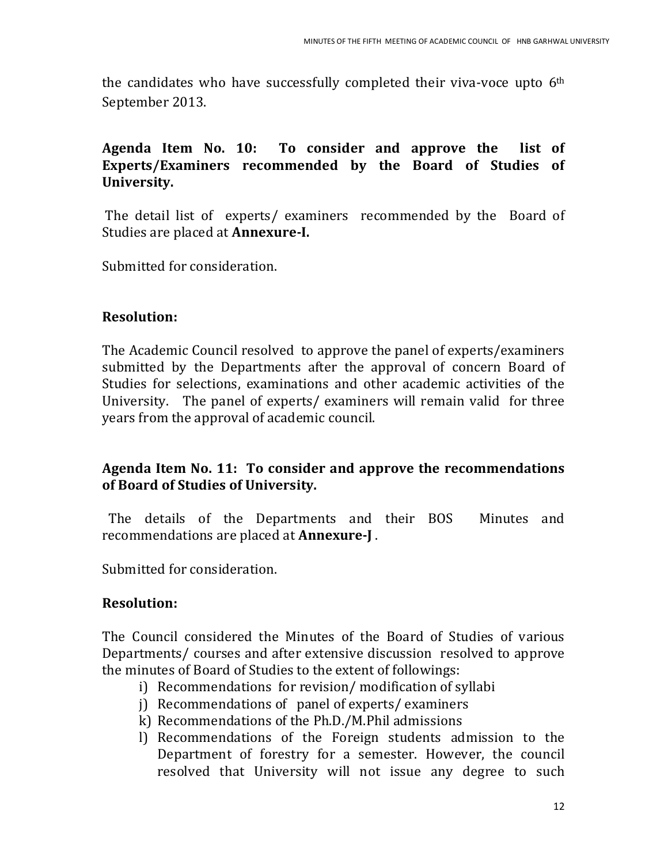the candidates who have successfully completed their viva-voce upto  $6<sup>th</sup>$ September 2013.

### **Agenda Item No. 10: To consider and approve the list of Experts/Examiners recommended by the Board of Studies of University.**

The detail list of experts/ examiners recommended by the Board of Studies are placed at **Annexure-I.**

Submitted for consideration.

#### **Resolution:**

The Academic Council resolved to approve the panel of experts/examiners submitted by the Departments after the approval of concern Board of Studies for selections, examinations and other academic activities of the University. The panel of experts/ examiners will remain valid for three years from the approval of academic council.

## **Agenda Item No. 11: To consider and approve the recommendations of Board of Studies of University.**

The details of the Departments and their BOS Minutes and recommendations are placed at **Annexure-J** .

Submitted for consideration.

### **Resolution:**

The Council considered the Minutes of the Board of Studies of various Departments/ courses and after extensive discussion resolved to approve the minutes of Board of Studies to the extent of followings:

- i) Recommendations for revision/ modification of syllabi
- j) Recommendations of panel of experts/ examiners
- k) Recommendations of the Ph.D./M.Phil admissions
- l) Recommendations of the Foreign students admission to the Department of forestry for a semester. However, the council resolved that University will not issue any degree to such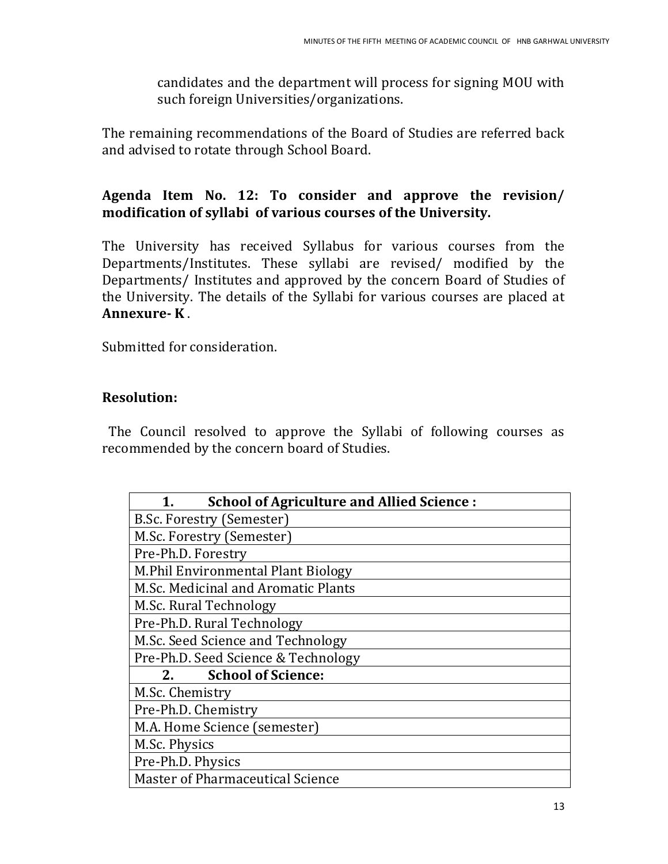candidates and the department will process for signing MOU with such foreign Universities/organizations.

The remaining recommendations of the Board of Studies are referred back and advised to rotate through School Board.

# **Agenda Item No. 12: To consider and approve the revision/ modification of syllabi of various courses of the University.**

The University has received Syllabus for various courses from the Departments/Institutes. These syllabi are revised/ modified by the Departments/ Institutes and approved by the concern Board of Studies of the University. The details of the Syllabi for various courses are placed at **Annexure- K** .

Submitted for consideration.

# **Resolution:**

The Council resolved to approve the Syllabi of following courses as recommended by the concern board of Studies.

| <b>School of Agriculture and Allied Science:</b> |
|--------------------------------------------------|
| B.Sc. Forestry (Semester)                        |
| M.Sc. Forestry (Semester)                        |
| Pre-Ph.D. Forestry                               |
| M.Phil Environmental Plant Biology               |
| M.Sc. Medicinal and Aromatic Plants              |
| M.Sc. Rural Technology                           |
| Pre-Ph.D. Rural Technology                       |
| M.Sc. Seed Science and Technology                |
| Pre-Ph.D. Seed Science & Technology              |
| <b>School of Science:</b><br>2.                  |
| M.Sc. Chemistry                                  |
| Pre-Ph.D. Chemistry                              |
| M.A. Home Science (semester)                     |
| M.Sc. Physics                                    |
| Pre-Ph.D. Physics                                |
| <b>Master of Pharmaceutical Science</b>          |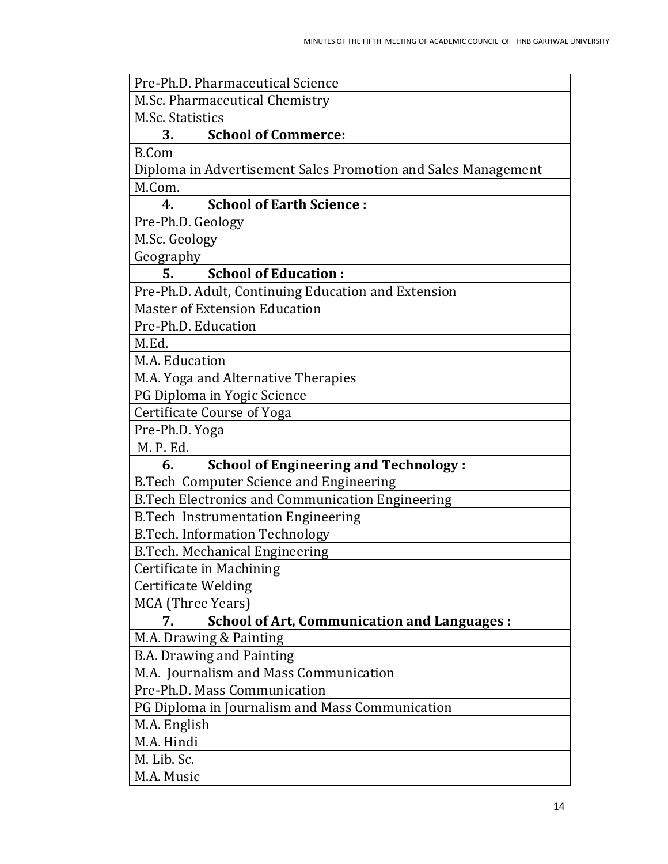| Pre-Ph.D. Pharmaceutical Science                              |
|---------------------------------------------------------------|
| M.Sc. Pharmaceutical Chemistry                                |
| <b>M.Sc. Statistics</b>                                       |
| <b>School of Commerce:</b><br>3.                              |
| <b>B.Com</b>                                                  |
| Diploma in Advertisement Sales Promotion and Sales Management |
| M.Com.                                                        |
| <b>School of Earth Science:</b><br>4.                         |
| Pre-Ph.D. Geology                                             |
| M.Sc. Geology                                                 |
| Geography                                                     |
| <b>School of Education:</b><br>5.                             |
| Pre-Ph.D. Adult, Continuing Education and Extension           |
| <b>Master of Extension Education</b>                          |
| Pre-Ph.D. Education                                           |
| M.Ed.                                                         |
| M.A. Education                                                |
| M.A. Yoga and Alternative Therapies                           |
| PG Diploma in Yogic Science                                   |
| <b>Certificate Course of Yoga</b>                             |
| Pre-Ph.D. Yoga                                                |
| M. P. Ed.                                                     |
| <b>School of Engineering and Technology:</b><br>6.            |
| B.Tech Computer Science and Engineering                       |
| <b>B.Tech Electronics and Communication Engineering</b>       |
| <b>B.Tech Instrumentation Engineering</b>                     |
| <b>B.Tech. Information Technology</b>                         |
| <b>B.Tech. Mechanical Engineering</b>                         |
| Certificate in Machining                                      |
| <b>Certificate Welding</b>                                    |
| MCA (Three Years)                                             |
| <b>School of Art, Communication and Languages:</b><br>7.      |
| M.A. Drawing & Painting                                       |
| <b>B.A. Drawing and Painting</b>                              |
| M.A. Journalism and Mass Communication                        |
| Pre-Ph.D. Mass Communication                                  |
| PG Diploma in Journalism and Mass Communication               |
| M.A. English                                                  |
| M.A. Hindi                                                    |
| M. Lib. Sc.                                                   |
| M.A. Music                                                    |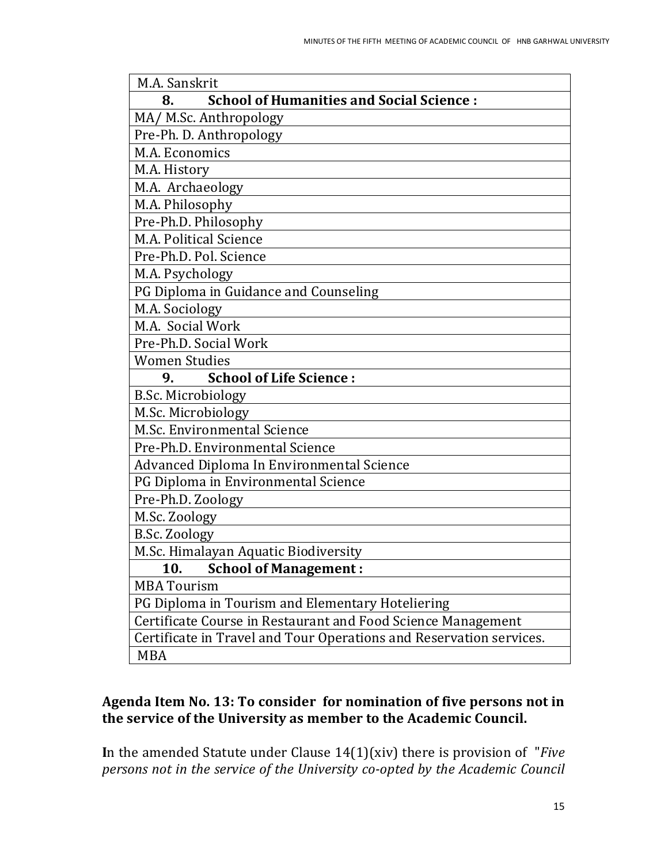| M.A. Sanskrit                                                       |
|---------------------------------------------------------------------|
| <b>School of Humanities and Social Science:</b><br>8.               |
| MA/ M.Sc. Anthropology                                              |
| Pre-Ph. D. Anthropology                                             |
| M.A. Economics                                                      |
| M.A. History                                                        |
| M.A. Archaeology                                                    |
| M.A. Philosophy                                                     |
| Pre-Ph.D. Philosophy                                                |
| M.A. Political Science                                              |
| Pre-Ph.D. Pol. Science                                              |
| M.A. Psychology                                                     |
| PG Diploma in Guidance and Counseling                               |
| M.A. Sociology                                                      |
| M.A. Social Work                                                    |
| Pre-Ph.D. Social Work                                               |
| <b>Women Studies</b>                                                |
| <b>School of Life Science:</b><br>9.                                |
| <b>B.Sc. Microbiology</b>                                           |
| M.Sc. Microbiology                                                  |
| M.Sc. Environmental Science                                         |
| Pre-Ph.D. Environmental Science                                     |
| Advanced Diploma In Environmental Science                           |
| PG Diploma in Environmental Science                                 |
| Pre-Ph.D. Zoology                                                   |
| M.Sc. Zoology                                                       |
| <b>B.Sc. Zoology</b>                                                |
| M.Sc. Himalayan Aquatic Biodiversity                                |
| 10.<br><b>School of Management:</b>                                 |
| <b>MBA Tourism</b>                                                  |
| PG Diploma in Tourism and Elementary Hoteliering                    |
| Certificate Course in Restaurant and Food Science Management        |
| Certificate in Travel and Tour Operations and Reservation services. |
| <b>MBA</b>                                                          |

### **Agenda Item No. 13: To consider for nomination of five persons not in the service of the University as member to the Academic Council.**

**I**n the amended Statute under Clause 14(1)(xiv) there is provision of "*Five persons not in the service of the University co-opted by the Academic Council*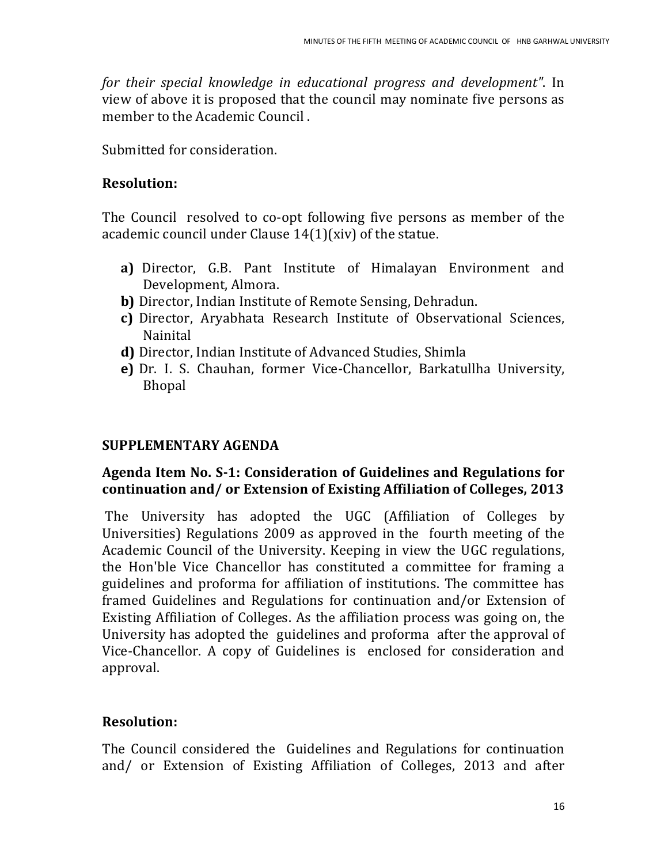*for their special knowledge in educational progress and development"*. In view of above it is proposed that the council may nominate five persons as member to the Academic Council .

Submitted for consideration.

## **Resolution:**

The Council resolved to co-opt following five persons as member of the academic council under Clause 14(1)(xiv) of the statue.

- **a)** Director, G.B. Pant Institute of Himalayan Environment and Development, Almora.
- **b)** Director, Indian Institute of Remote Sensing, Dehradun.
- **c)** Director, Aryabhata Research Institute of Observational Sciences, Nainital
- **d)** Director, Indian Institute of Advanced Studies, Shimla
- **e)** Dr. I. S. Chauhan, former Vice-Chancellor, Barkatullha University, Bhopal

# **SUPPLEMENTARY AGENDA**

## **Agenda Item No. S-1: Consideration of Guidelines and Regulations for continuation and/ or Extension of Existing Affiliation of Colleges, 2013**

The University has adopted the UGC (Affiliation of Colleges by Universities) Regulations 2009 as approved in the fourth meeting of the Academic Council of the University. Keeping in view the UGC regulations, the Hon'ble Vice Chancellor has constituted a committee for framing a guidelines and proforma for affiliation of institutions. The committee has framed Guidelines and Regulations for continuation and/or Extension of Existing Affiliation of Colleges. As the affiliation process was going on, the University has adopted the guidelines and proforma after the approval of Vice-Chancellor. A copy of Guidelines is enclosed for consideration and approval.

# **Resolution:**

The Council considered the Guidelines and Regulations for continuation and/ or Extension of Existing Affiliation of Colleges, 2013 and after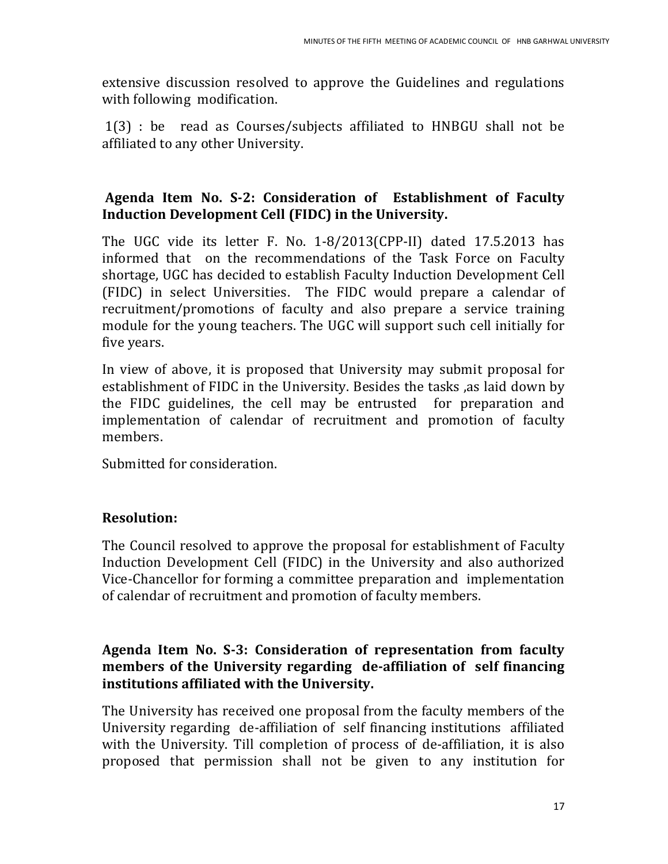extensive discussion resolved to approve the Guidelines and regulations with following modification.

1(3) : be read as Courses/subjects affiliated to HNBGU shall not be affiliated to any other University.

# **Agenda Item No. S-2: Consideration of Establishment of Faculty Induction Development Cell (FIDC) in the University.**

The UGC vide its letter F. No. 1-8/2013(CPP-II) dated 17.5.2013 has informed that on the recommendations of the Task Force on Faculty shortage, UGC has decided to establish Faculty Induction Development Cell (FIDC) in select Universities. The FIDC would prepare a calendar of recruitment/promotions of faculty and also prepare a service training module for the young teachers. The UGC will support such cell initially for five years.

In view of above, it is proposed that University may submit proposal for establishment of FIDC in the University. Besides the tasks ,as laid down by the FIDC guidelines, the cell may be entrusted for preparation and implementation of calendar of recruitment and promotion of faculty members.

Submitted for consideration.

# **Resolution:**

The Council resolved to approve the proposal for establishment of Faculty Induction Development Cell (FIDC) in the University and also authorized Vice-Chancellor for forming a committee preparation and implementation of calendar of recruitment and promotion of faculty members.

## **Agenda Item No. S-3: Consideration of representation from faculty members of the University regarding de-affiliation of self financing institutions affiliated with the University.**

The University has received one proposal from the faculty members of the University regarding de-affiliation of self financing institutions affiliated with the University. Till completion of process of de-affiliation, it is also proposed that permission shall not be given to any institution for